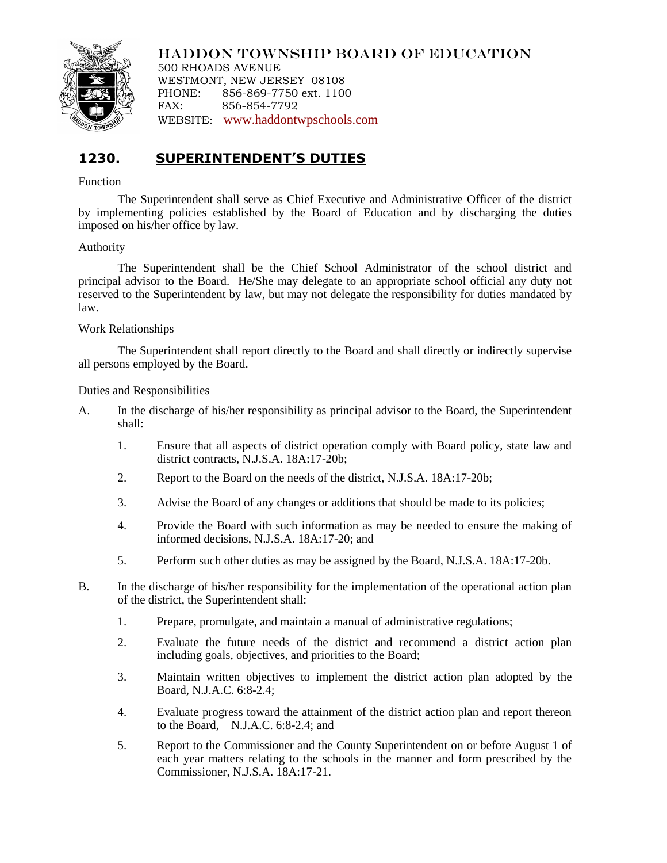

HADDON TOWNSHIP BOARD OF EDUCATION

500 RHOADS AVENUE WESTMONT, NEW JERSEY 08108 PHONE: 856-869-7750 ext. 1100 FAX: 856-854-7792 WEBSITE: [www.haddontwpschools.com](http://www.haddontwpschools.com/)

# **1230. SUPERINTENDENT'S DUTIES**

### Function

The Superintendent shall serve as Chief Executive and Administrative Officer of the district by implementing policies established by the Board of Education and by discharging the duties imposed on his/her office by law.

## Authority

The Superintendent shall be the Chief School Administrator of the school district and principal advisor to the Board. He/She may delegate to an appropriate school official any duty not reserved to the Superintendent by law, but may not delegate the responsibility for duties mandated by law.

#### Work Relationships

The Superintendent shall report directly to the Board and shall directly or indirectly supervise all persons employed by the Board.

Duties and Responsibilities

- A. In the discharge of his/her responsibility as principal advisor to the Board, the Superintendent shall:
	- 1. Ensure that all aspects of district operation comply with Board policy, state law and district contracts, N.J.S.A. 18A:17-20b;
	- 2. Report to the Board on the needs of the district, N.J.S.A. 18A:17-20b;
	- 3. Advise the Board of any changes or additions that should be made to its policies;
	- 4. Provide the Board with such information as may be needed to ensure the making of informed decisions, N.J.S.A. 18A:17-20; and
	- 5. Perform such other duties as may be assigned by the Board, N.J.S.A. 18A:17-20b.
- B. In the discharge of his/her responsibility for the implementation of the operational action plan of the district, the Superintendent shall:
	- 1. Prepare, promulgate, and maintain a manual of administrative regulations;
	- 2. Evaluate the future needs of the district and recommend a district action plan including goals, objectives, and priorities to the Board;
	- 3. Maintain written objectives to implement the district action plan adopted by the Board, N.J.A.C. 6:8-2.4;
	- 4. Evaluate progress toward the attainment of the district action plan and report thereon to the Board, N.J.A.C. 6:8-2.4; and
	- 5. Report to the Commissioner and the County Superintendent on or before August 1 of each year matters relating to the schools in the manner and form prescribed by the Commissioner, N.J.S.A. 18A:17-21.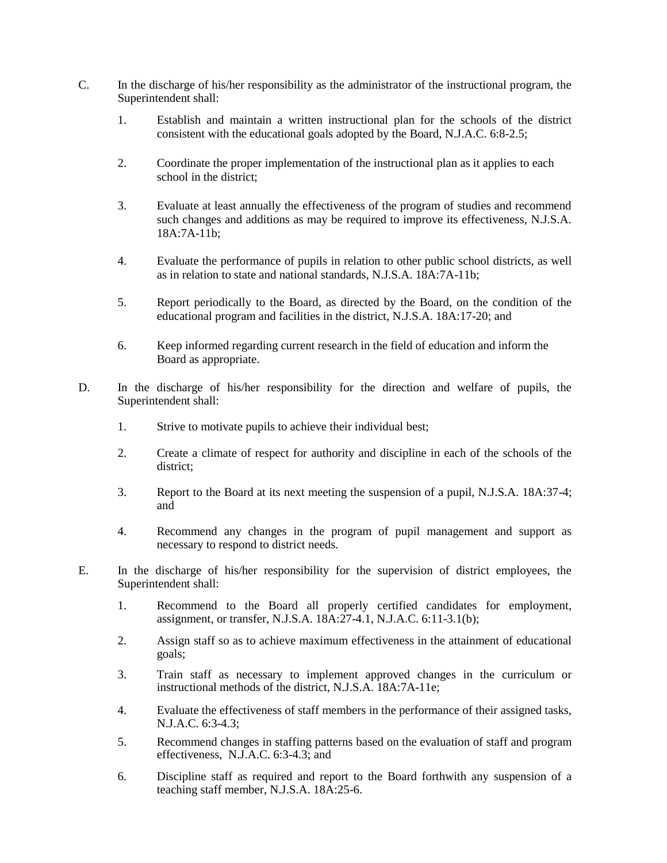- C. In the discharge of his/her responsibility as the administrator of the instructional program, the Superintendent shall:
	- 1. Establish and maintain a written instructional plan for the schools of the district consistent with the educational goals adopted by the Board, N.J.A.C. 6:8-2.5;
	- 2. Coordinate the proper implementation of the instructional plan as it applies to each school in the district;
	- 3. Evaluate at least annually the effectiveness of the program of studies and recommend such changes and additions as may be required to improve its effectiveness, N.J.S.A. 18A:7A-11b;
	- 4. Evaluate the performance of pupils in relation to other public school districts, as well as in relation to state and national standards, N.J.S.A. 18A:7A-11b;
	- 5. Report periodically to the Board, as directed by the Board, on the condition of the educational program and facilities in the district, N.J.S.A. 18A:17-20; and
	- 6. Keep informed regarding current research in the field of education and inform the Board as appropriate.
- D. In the discharge of his/her responsibility for the direction and welfare of pupils, the Superintendent shall:
	- 1. Strive to motivate pupils to achieve their individual best;
	- 2. Create a climate of respect for authority and discipline in each of the schools of the district;
	- 3. Report to the Board at its next meeting the suspension of a pupil, N.J.S.A. 18A:37-4; and
	- 4. Recommend any changes in the program of pupil management and support as necessary to respond to district needs.
- E. In the discharge of his/her responsibility for the supervision of district employees, the Superintendent shall:
	- 1. Recommend to the Board all properly certified candidates for employment, assignment, or transfer, N.J.S.A. 18A:27-4.1, N.J.A.C. 6:11-3.1(b);
	- 2. Assign staff so as to achieve maximum effectiveness in the attainment of educational goals;
	- 3. Train staff as necessary to implement approved changes in the curriculum or instructional methods of the district, N.J.S.A. 18A:7A-11e;
	- 4. Evaluate the effectiveness of staff members in the performance of their assigned tasks, N.J.A.C. 6:3-4.3;
	- 5. Recommend changes in staffing patterns based on the evaluation of staff and program effectiveness, N.J.A.C. 6:3-4.3; and
	- 6. Discipline staff as required and report to the Board forthwith any suspension of a teaching staff member, N.J.S.A. 18A:25-6.